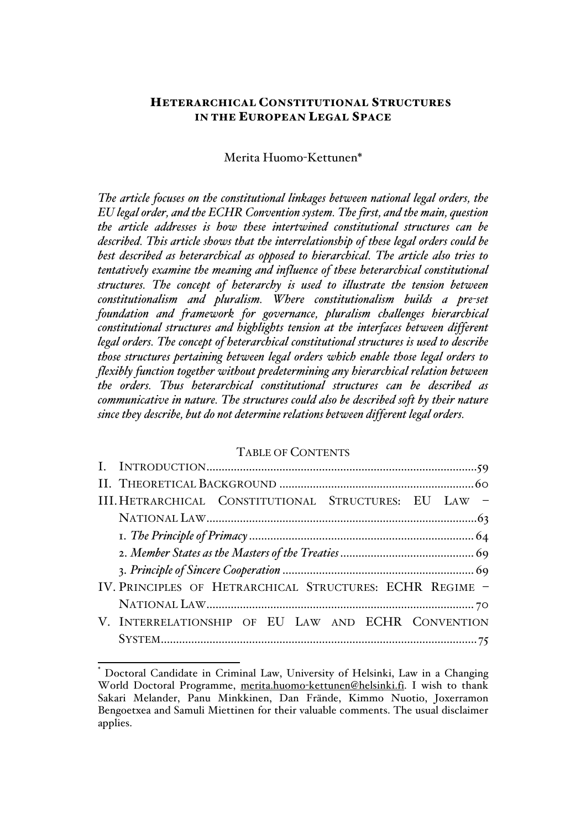## HETERARCHICAL CONSTITUTIONAL STRUCTURES IN THE EUROPEAN LEGAL SPACE

## Merita Huomo-Kettunen\*

*The article focuses on the constitutional linkages between national legal orders, the EU legal order, and the ECHR Convention system. The first, and the main, question the article addresses is how these intertwined constitutional structures can be described. This article shows that the interrelationship of these legal orders could be best described as heterarchical as opposed to hierarchical. The article also tries to tentatively examine the meaning and influence of these heterarchical constitutional structures. The concept of heterarchy is used to illustrate the tension between constitutionalism and pluralism. Where constitutionalism builds a pre-set foundation and framework for governance, pluralism challenges hierarchical constitutional structures and highlights tension at the interfaces between different legal orders. The concept of heterarchical constitutional structures is used to describe those structures pertaining between legal orders which enable those legal orders to flexibly function together without predetermining any hierarchical relation between the orders. Thus heterarchical constitutional structures can be described as communicative in nature. The structures could also be described soft by their nature since they describe, but do not determine relations between different legal orders.*

### TABLE OF CONTENTS

| III. HETRARCHICAL CONSTITUTIONAL STRUCTURES: EU LAW -    |
|----------------------------------------------------------|
|                                                          |
|                                                          |
|                                                          |
|                                                          |
| IV. PRINCIPLES OF HETRARCHICAL STRUCTURES: ECHR REGIME - |
|                                                          |
| V. INTERRELATIONSHIP OF EU LAW AND ECHR CONVENTION       |
|                                                          |

 <sup>\*</sup> Doctoral Candidate in Criminal Law, University of Helsinki, Law in a Changing World Doctoral Programme, merita.huomo-kettunen@helsinki.fi. I wish to thank Sakari Melander, Panu Minkkinen, Dan Frände, Kimmo Nuotio, Joxerramon Bengoetxea and Samuli Miettinen for their valuable comments. The usual disclaimer applies.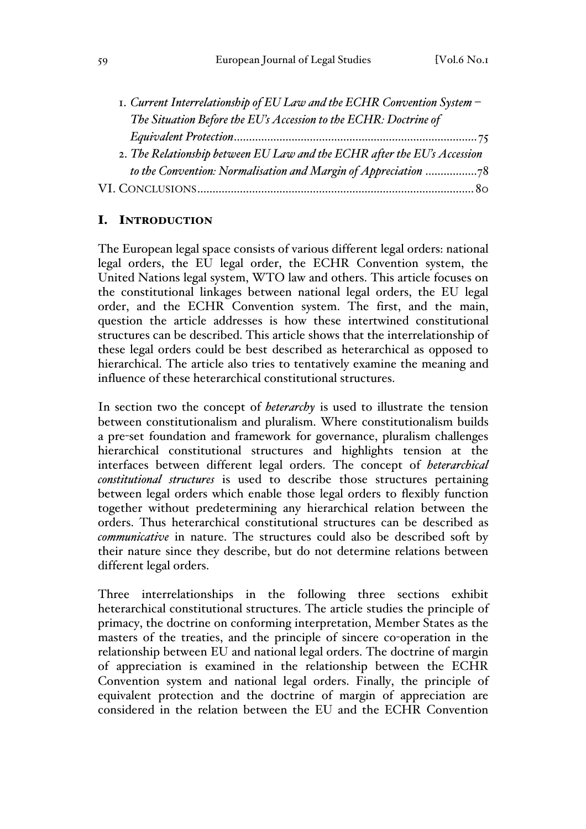| 1. Current Interrelationship of EU Law and the ECHR Convention System -  |  |
|--------------------------------------------------------------------------|--|
| The Situation Before the EU's Accession to the ECHR: Doctrine of         |  |
|                                                                          |  |
| 2. The Relationship between EU Law and the ECHR after the EU's Accession |  |
| to the Convention: Normalisation and Margin of Appreciation 78           |  |
|                                                                          |  |

## I. INTRODUCTION

The European legal space consists of various different legal orders: national legal orders, the EU legal order, the ECHR Convention system, the United Nations legal system, WTO law and others. This article focuses on the constitutional linkages between national legal orders, the EU legal order, and the ECHR Convention system. The first, and the main, question the article addresses is how these intertwined constitutional structures can be described. This article shows that the interrelationship of these legal orders could be best described as heterarchical as opposed to hierarchical. The article also tries to tentatively examine the meaning and influence of these heterarchical constitutional structures.

In section two the concept of *heterarchy* is used to illustrate the tension between constitutionalism and pluralism. Where constitutionalism builds a pre-set foundation and framework for governance, pluralism challenges hierarchical constitutional structures and highlights tension at the interfaces between different legal orders. The concept of *heterarchical constitutional structures* is used to describe those structures pertaining between legal orders which enable those legal orders to flexibly function together without predetermining any hierarchical relation between the orders. Thus heterarchical constitutional structures can be described as *communicative* in nature. The structures could also be described soft by their nature since they describe, but do not determine relations between different legal orders.

Three interrelationships in the following three sections exhibit heterarchical constitutional structures. The article studies the principle of primacy, the doctrine on conforming interpretation, Member States as the masters of the treaties, and the principle of sincere co-operation in the relationship between EU and national legal orders. The doctrine of margin of appreciation is examined in the relationship between the ECHR Convention system and national legal orders. Finally, the principle of equivalent protection and the doctrine of margin of appreciation are considered in the relation between the EU and the ECHR Convention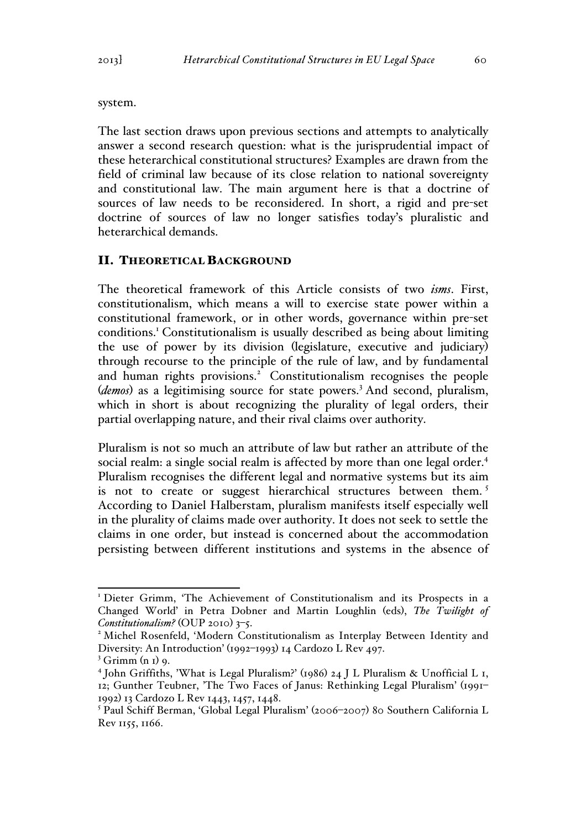system.

The last section draws upon previous sections and attempts to analytically answer a second research question: what is the jurisprudential impact of these heterarchical constitutional structures? Examples are drawn from the field of criminal law because of its close relation to national sovereignty and constitutional law. The main argument here is that a doctrine of sources of law needs to be reconsidered. In short, a rigid and pre-set doctrine of sources of law no longer satisfies today's pluralistic and heterarchical demands.

#### II. THEORETICAL BACKGROUND

The theoretical framework of this Article consists of two *isms*. First, constitutionalism, which means a will to exercise state power within a constitutional framework, or in other words, governance within pre-set conditions.1 Constitutionalism is usually described as being about limiting the use of power by its division (legislature, executive and judiciary) through recourse to the principle of the rule of law, and by fundamental and human rights provisions.<sup>2</sup> Constitutionalism recognises the people (*demos*) as a legitimising source for state powers.<sup>3</sup> And second, pluralism, which in short is about recognizing the plurality of legal orders, their partial overlapping nature, and their rival claims over authority.

Pluralism is not so much an attribute of law but rather an attribute of the social realm: a single social realm is affected by more than one legal order.<sup>4</sup> Pluralism recognises the different legal and normative systems but its aim is not to create or suggest hierarchical structures between them.<sup>5</sup> According to Daniel Halberstam, pluralism manifests itself especially well in the plurality of claims made over authority. It does not seek to settle the claims in one order, but instead is concerned about the accommodation persisting between different institutions and systems in the absence of

<sup>&</sup>lt;sup>1</sup> Dieter Grimm, 'The Achievement of Constitutionalism and its Prospects in a Changed World' in Petra Dobner and Martin Loughlin (eds), *The Twilight of Constitutionalism?* (OUP 2010) 3–5. <sup>2</sup> Michel Rosenfeld, 'Modern Constitutionalism as Interplay Between Identity and

Diversity: An Introduction' (1992–1993) 14 Cardozo L Rev 497.

 $3$  Grimm (n 1) 9.

<sup>4</sup> John Griffiths, 'What is Legal Pluralism?' (1986) 24 J L Pluralism & Unofficial L 1, 12; Gunther Teubner, 'The Two Faces of Janus: Rethinking Legal Pluralism' (1991– 1992) 13 Cardozo L Rev 1443, 1457, 1448.

<sup>5</sup> Paul Schiff Berman, 'Global Legal Pluralism' (2006–2007) 80 Southern California L Rev 1155, 1166.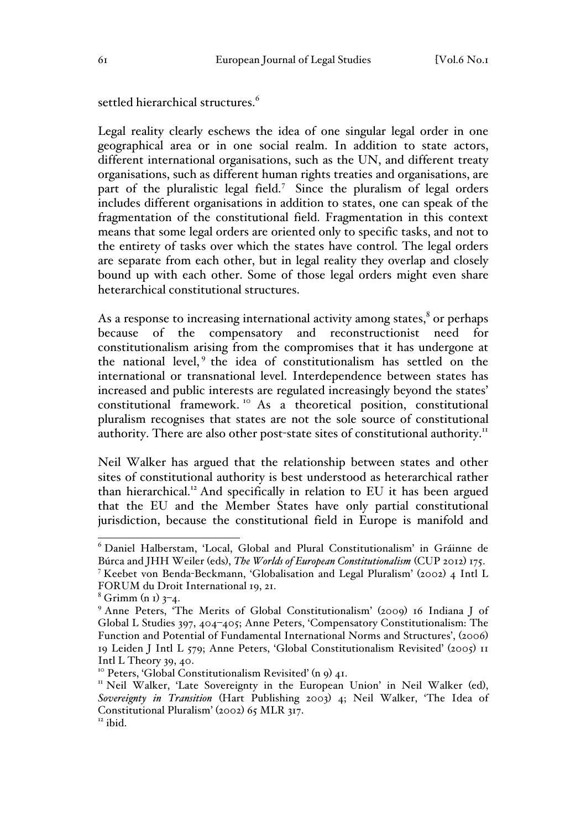settled hierarchical structures.<sup>6</sup>

Legal reality clearly eschews the idea of one singular legal order in one geographical area or in one social realm. In addition to state actors, different international organisations, such as the UN, and different treaty organisations, such as different human rights treaties and organisations, are part of the pluralistic legal field.<sup>7</sup> Since the pluralism of legal orders includes different organisations in addition to states, one can speak of the fragmentation of the constitutional field. Fragmentation in this context means that some legal orders are oriented only to specific tasks, and not to the entirety of tasks over which the states have control. The legal orders are separate from each other, but in legal reality they overlap and closely bound up with each other. Some of those legal orders might even share heterarchical constitutional structures.

As a response to increasing international activity among states, $\delta$  or perhaps because of the compensatory and reconstructionist need for constitutionalism arising from the compromises that it has undergone at the national level,<sup>9</sup> the idea of constitutionalism has settled on the international or transnational level. Interdependence between states has increased and public interests are regulated increasingly beyond the states' constitutional framework. <sup>10</sup> As a theoretical position, constitutional pluralism recognises that states are not the sole source of constitutional authority. There are also other post-state sites of constitutional authority.<sup>11</sup>

Neil Walker has argued that the relationship between states and other sites of constitutional authority is best understood as heterarchical rather than hierarchical.<sup>12</sup> And specifically in relation to EU it has been argued that the EU and the Member States have only partial constitutional jurisdiction, because the constitutional field in Europe is manifold and

 <sup>6</sup> Daniel Halberstam, 'Local, Global and Plural Constitutionalism' in Gráinne de Búrca and JHH Weiler (eds), *The Worlds of European Constitutionalism* (CUP 2012) 175. <sup>7</sup> Keebet von Benda-Beckmann, 'Globalisation and Legal Pluralism' (2002) 4 Intl L FORUM du Droit International 19, 21.

 $8$  Grimm (n 1)  $3-4$ .

<sup>9</sup> Anne Peters, 'The Merits of Global Constitutionalism' (2009) 16 Indiana J of Global L Studies 397, 404–405; Anne Peters, 'Compensatory Constitutionalism: The Function and Potential of Fundamental International Norms and Structures', (2006) 19 Leiden J Intl L 579; Anne Peters, 'Global Constitutionalism Revisited' (2005) 11 Intl L Theory 39, 40.<br><sup>10</sup> Peters, 'Global Constitutionalism Revisited' (n 9) 41.

<sup>&</sup>lt;sup>11</sup> Neil Walker, 'Late Sovereignty in the European Union' in Neil Walker (ed), *Sovereignty in Transition* (Hart Publishing 2003) 4; Neil Walker, 'The Idea of Constitutional Pluralism' (2002) 65 MLR 317. <sup>12</sup> ibid.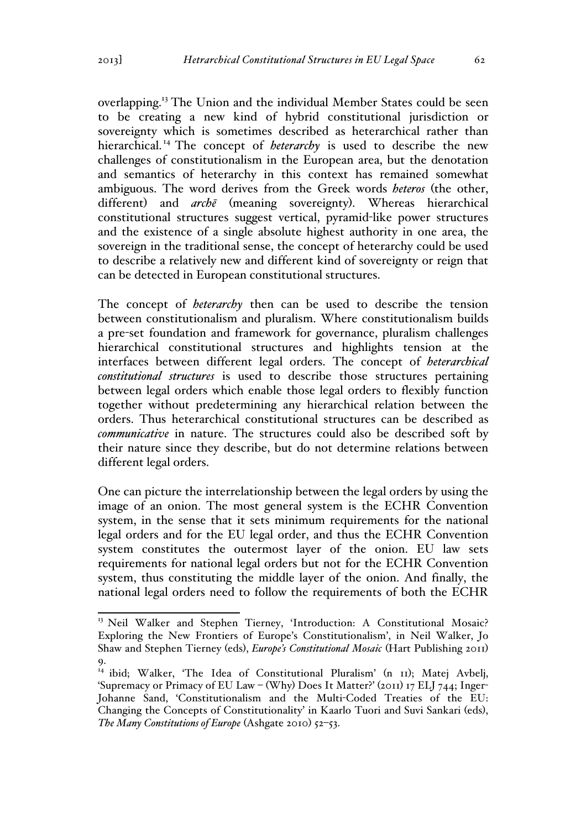overlapping.<sup>13</sup> The Union and the individual Member States could be seen to be creating a new kind of hybrid constitutional jurisdiction or sovereignty which is sometimes described as heterarchical rather than hierarchical.<sup>14</sup> The concept of *heterarchy* is used to describe the new challenges of constitutionalism in the European area, but the denotation and semantics of heterarchy in this context has remained somewhat ambiguous. The word derives from the Greek words *heteros* (the other, different) and *archē* (meaning sovereignty). Whereas hierarchical constitutional structures suggest vertical, pyramid-like power structures and the existence of a single absolute highest authority in one area, the sovereign in the traditional sense, the concept of heterarchy could be used to describe a relatively new and different kind of sovereignty or reign that can be detected in European constitutional structures.

The concept of *heterarchy* then can be used to describe the tension between constitutionalism and pluralism. Where constitutionalism builds a pre-set foundation and framework for governance, pluralism challenges hierarchical constitutional structures and highlights tension at the interfaces between different legal orders. The concept of *heterarchical constitutional structures* is used to describe those structures pertaining between legal orders which enable those legal orders to flexibly function together without predetermining any hierarchical relation between the orders. Thus heterarchical constitutional structures can be described as *communicative* in nature. The structures could also be described soft by their nature since they describe, but do not determine relations between different legal orders.

One can picture the interrelationship between the legal orders by using the image of an onion. The most general system is the ECHR Convention system, in the sense that it sets minimum requirements for the national legal orders and for the EU legal order, and thus the ECHR Convention system constitutes the outermost layer of the onion. EU law sets requirements for national legal orders but not for the ECHR Convention system, thus constituting the middle layer of the onion. And finally, the national legal orders need to follow the requirements of both the ECHR

<sup>&</sup>lt;sup>13</sup> Neil Walker and Stephen Tierney, 'Introduction: A Constitutional Mosaic? Exploring the New Frontiers of Europe's Constitutionalism', in Neil Walker, Jo Shaw and Stephen Tierney (eds), *Europe's Constitutional Mosaic* (Hart Publishing 2011) 9.

<sup>&</sup>lt;sup>14</sup> ibid; Walker, 'The Idea of Constitutional Pluralism' (n II); Matej Avbelj, 'Supremacy or Primacy of EU Law – (Why) Does It Matter?' (2011) 17 ELJ 744; Inger-Johanne Sand, 'Constitutionalism and the Multi-Coded Treaties of the EU: Changing the Concepts of Constitutionality' in Kaarlo Tuori and Suvi Sankari (eds), *The Many Constitutions of Europe* (Ashgate 2010) 52–53.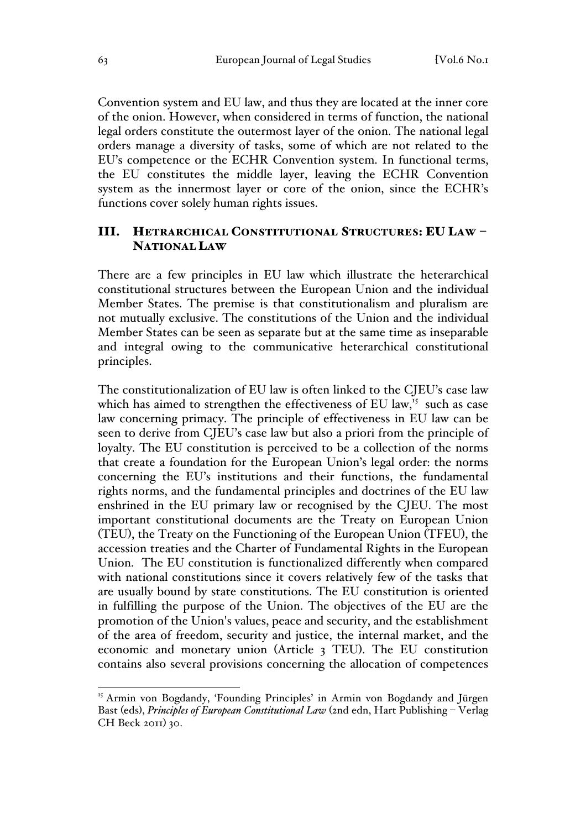Convention system and EU law, and thus they are located at the inner core of the onion. However, when considered in terms of function, the national legal orders constitute the outermost layer of the onion. The national legal orders manage a diversity of tasks, some of which are not related to the EU's competence or the ECHR Convention system. In functional terms, the EU constitutes the middle layer, leaving the ECHR Convention system as the innermost layer or core of the onion, since the ECHR's functions cover solely human rights issues.

# III. HETRARCHICAL CONSTITUTIONAL STRUCTURES: EU LAW – NATIONAL LAW

There are a few principles in EU law which illustrate the heterarchical constitutional structures between the European Union and the individual Member States. The premise is that constitutionalism and pluralism are not mutually exclusive. The constitutions of the Union and the individual Member States can be seen as separate but at the same time as inseparable and integral owing to the communicative heterarchical constitutional principles.

The constitutionalization of EU law is often linked to the CJEU's case law which has aimed to strengthen the effectiveness of EU law,<sup>15</sup> such as case law concerning primacy. The principle of effectiveness in EU law can be seen to derive from CJEU's case law but also a priori from the principle of loyalty. The EU constitution is perceived to be a collection of the norms that create a foundation for the European Union's legal order: the norms concerning the EU's institutions and their functions, the fundamental rights norms, and the fundamental principles and doctrines of the EU law enshrined in the EU primary law or recognised by the CJEU. The most important constitutional documents are the Treaty on European Union (TEU), the Treaty on the Functioning of the European Union (TFEU), the accession treaties and the Charter of Fundamental Rights in the European Union. The EU constitution is functionalized differently when compared with national constitutions since it covers relatively few of the tasks that are usually bound by state constitutions. The EU constitution is oriented in fulfilling the purpose of the Union. The objectives of the EU are the promotion of the Union's values, peace and security, and the establishment of the area of freedom, security and justice, the internal market, and the economic and monetary union (Article 3 TEU). The EU constitution contains also several provisions concerning the allocation of competences

<sup>&</sup>lt;sup>15</sup> Armin von Bogdandy, 'Founding Principles' in Armin von Bogdandy and Jürgen Bast (eds), *Principles of European Constitutional Law* (2nd edn, Hart Publishing – Verlag CH Beck 2011) 30.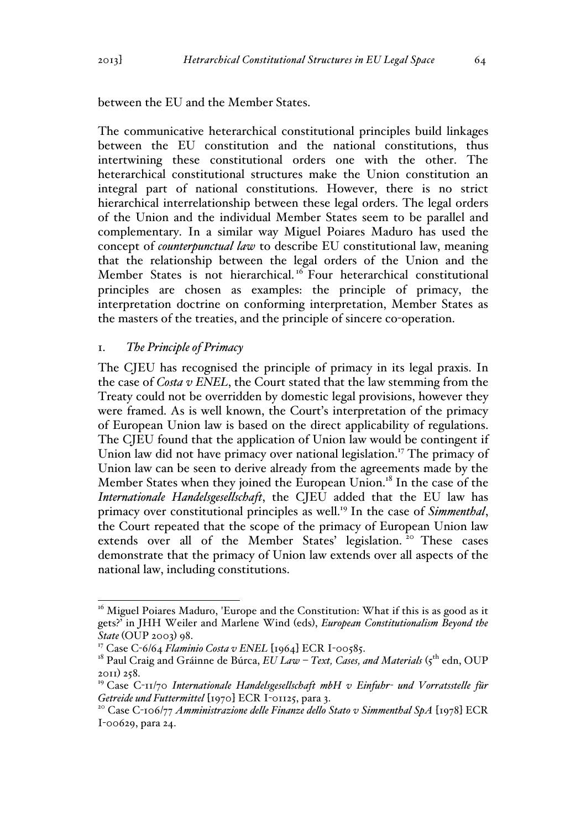between the EU and the Member States.

The communicative heterarchical constitutional principles build linkages between the EU constitution and the national constitutions, thus intertwining these constitutional orders one with the other. The heterarchical constitutional structures make the Union constitution an integral part of national constitutions. However, there is no strict hierarchical interrelationship between these legal orders. The legal orders of the Union and the individual Member States seem to be parallel and complementary. In a similar way Miguel Poiares Maduro has used the concept of *counterpunctual law* to describe EU constitutional law, meaning that the relationship between the legal orders of the Union and the Member States is not hierarchical.<sup>16</sup> Four heterarchical constitutional principles are chosen as examples: the principle of primacy, the interpretation doctrine on conforming interpretation, Member States as the masters of the treaties, and the principle of sincere co-operation.

#### 1. *The Principle of Primacy*

The CJEU has recognised the principle of primacy in its legal praxis. In the case of *Costa v ENEL*, the Court stated that the law stemming from the Treaty could not be overridden by domestic legal provisions, however they were framed. As is well known, the Court's interpretation of the primacy of European Union law is based on the direct applicability of regulations. The CJEU found that the application of Union law would be contingent if Union law did not have primacy over national legislation.<sup>17</sup> The primacy of Union law can be seen to derive already from the agreements made by the Member States when they joined the European Union.<sup>18</sup> In the case of the *Internationale Handelsgesellschaft*, the CJEU added that the EU law has primacy over constitutional principles as well.<sup>19</sup> In the case of *Simmenthal*, the Court repeated that the scope of the primacy of European Union law extends over all of the Member States' legislation.<sup>20</sup> These cases demonstrate that the primacy of Union law extends over all aspects of the national law, including constitutions.

 $16$  Miguel Poiares Maduro, 'Europe and the Constitution: What if this is as good as it gets?' in JHH Weiler and Marlene Wind (eds), *European Constitutionalism Beyond the State* (OUP 2003) 98.

<sup>&</sup>lt;sup>17</sup> Case C-6/64 *Flaminio Costa v ENEL* [1964] ECR I-00585.

<sup>&</sup>lt;sup>18</sup> Paul Craig and Gráinne de Búrca, *EU Law - Text, Cases, and Materials* (5<sup>th</sup> edn, OUP 2011) 258.

<sup>19</sup> Case C-11/70 *Internationale Handelsgesellschaft mbH v Einfuhr- und Vorratsstelle für Getreide und Futtermittel* [1970] ECR I-01125, para 3.<br><sup>20</sup> Case C-106/77 *Amministrazione delle Finanze dello Stato v Simmenthal SpA* [1978] ECR

I-00629, para 24.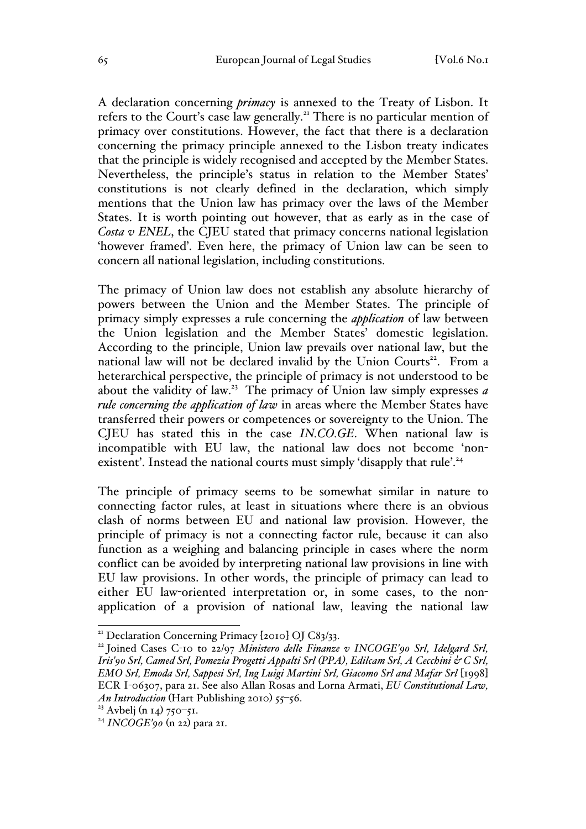A declaration concerning *primacy* is annexed to the Treaty of Lisbon. It refers to the Court's case law generally.<sup>21</sup> There is no particular mention of primacy over constitutions. However, the fact that there is a declaration concerning the primacy principle annexed to the Lisbon treaty indicates that the principle is widely recognised and accepted by the Member States. Nevertheless, the principle's status in relation to the Member States' constitutions is not clearly defined in the declaration, which simply mentions that the Union law has primacy over the laws of the Member States. It is worth pointing out however, that as early as in the case of *Costa v ENEL*, the CJEU stated that primacy concerns national legislation 'however framed'. Even here, the primacy of Union law can be seen to concern all national legislation, including constitutions.

The primacy of Union law does not establish any absolute hierarchy of powers between the Union and the Member States. The principle of primacy simply expresses a rule concerning the *application* of law between the Union legislation and the Member States' domestic legislation. According to the principle, Union law prevails over national law, but the national law will not be declared invalid by the Union Courts<sup>22</sup>. From a heterarchical perspective, the principle of primacy is not understood to be about the validity of law.23 The primacy of Union law simply expresses *a rule concerning the application of law* in areas where the Member States have transferred their powers or competences or sovereignty to the Union. The CJEU has stated this in the case *IN.CO.GE*. When national law is incompatible with EU law, the national law does not become 'nonexistent'. Instead the national courts must simply 'disapply that rule'.<sup>24</sup>

The principle of primacy seems to be somewhat similar in nature to connecting factor rules, at least in situations where there is an obvious clash of norms between EU and national law provision. However, the principle of primacy is not a connecting factor rule, because it can also function as a weighing and balancing principle in cases where the norm conflict can be avoided by interpreting national law provisions in line with EU law provisions. In other words, the principle of primacy can lead to either EU law-oriented interpretation or, in some cases, to the nonapplication of a provision of national law, leaving the national law

<sup>&</sup>lt;sup>21</sup> Declaration Concerning Primacy [2010] OJ C83/33.<br><sup>22</sup> Joined Cases C-10 to 22/97 *Ministero delle Finanze v INCOGE'90 Srl, Idelgard Srl*, *Iris'90 Srl, Camed Srl, Pomezia Progetti Appalti Srl (PPA), Edilcam Srl, A Cecchini & C Srl, EMO Srl, Emoda Srl, Sappesi Srl, Ing Luigi Martini Srl, Giacomo Srl and Mafar Srl* [1998] ECR I-06307, para 21. See also Allan Rosas and Lorna Armati, *EU Constitutional Law, An Introduction* (Hart Publishing 2010) 55–56.

<sup>&</sup>lt;sup>23</sup> Avbelj (n 14) 750–51.

<sup>24</sup> *INCOGE'90* (n 22) para 21.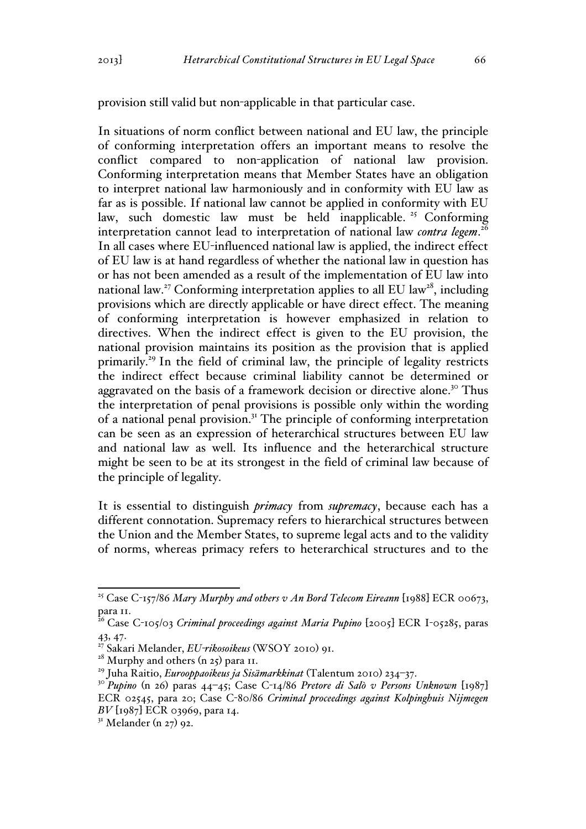provision still valid but non-applicable in that particular case.

In situations of norm conflict between national and EU law, the principle of conforming interpretation offers an important means to resolve the conflict compared to non-application of national law provision. Conforming interpretation means that Member States have an obligation to interpret national law harmoniously and in conformity with EU law as far as is possible. If national law cannot be applied in conformity with EU law, such domestic law must be held inapplicable.<sup>25</sup> Conforming interpretation cannot lead to interpretation of national law *contra legem*. 26 In all cases where EU-influenced national law is applied, the indirect effect of EU law is at hand regardless of whether the national law in question has or has not been amended as a result of the implementation of EU law into national law.<sup>27</sup> Conforming interpretation applies to all EU law<sup>28</sup>, including provisions which are directly applicable or have direct effect. The meaning of conforming interpretation is however emphasized in relation to directives. When the indirect effect is given to the EU provision, the national provision maintains its position as the provision that is applied primarily.29 In the field of criminal law, the principle of legality restricts the indirect effect because criminal liability cannot be determined or aggravated on the basis of a framework decision or directive alone.<sup>30</sup> Thus the interpretation of penal provisions is possible only within the wording of a national penal provision.31 The principle of conforming interpretation can be seen as an expression of heterarchical structures between EU law and national law as well. Its influence and the heterarchical structure might be seen to be at its strongest in the field of criminal law because of the principle of legality.

It is essential to distinguish *primacy* from *supremacy*, because each has a different connotation. Supremacy refers to hierarchical structures between the Union and the Member States, to supreme legal acts and to the validity of norms, whereas primacy refers to heterarchical structures and to the

<sup>&</sup>lt;sup>25</sup> Case C-157/86 *Mary Murphy and others v An Bord Telecom Eireann* [1988] ECR 00673, para 11.

<sup>26</sup> Case C-105/03 *Criminal proceedings against Maria Pupino* [2005] ECR I-05285, paras 43, 47.

<sup>27</sup> Sakari Melander, *EU-rikosoikeus* (WSOY 2010) 91.

 $28$  Murphy and others (n 25) para 11.

<sup>29</sup> Juha Raitio, *Eurooppaoikeus ja Sisämarkkinat* (Talentum 2010) 234–37.

<sup>30</sup> *Pupino* (n 26) paras 44–45; Case C-14/86 *Pretore di Salò v Persons Unknown* [1987]

ECR 02545, para 20; Case C-80/86 *Criminal proceedings against Kolpinghuis Nijmegen BV* [1987] ECR 03969, para 14.

 $31$  Melander (n 27) 92.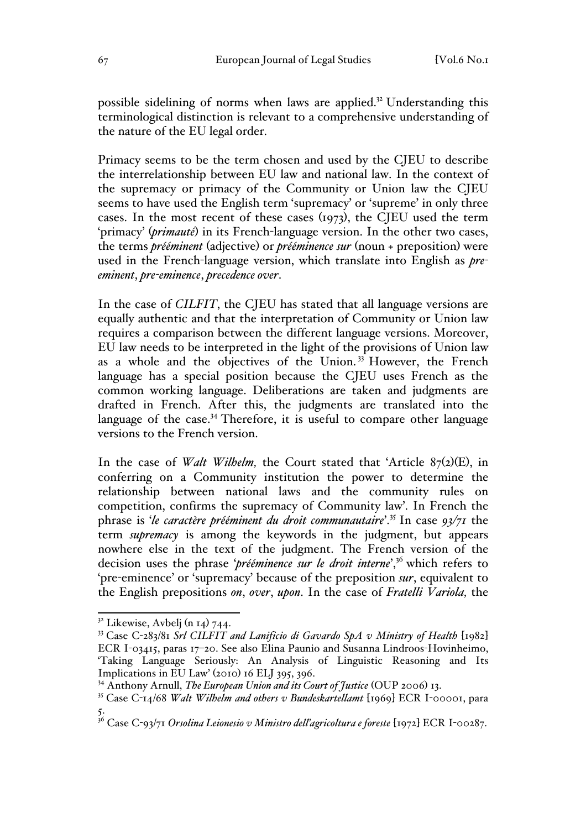possible sidelining of norms when laws are applied.32 Understanding this terminological distinction is relevant to a comprehensive understanding of the nature of the EU legal order.

Primacy seems to be the term chosen and used by the CJEU to describe the interrelationship between EU law and national law. In the context of the supremacy or primacy of the Community or Union law the CJEU seems to have used the English term 'supremacy' or 'supreme' in only three cases. In the most recent of these cases (1973), the CJEU used the term 'primacy' (*primauté*) in its French-language version. In the other two cases, the terms *prééminent* (adjective) or *prééminence sur* (noun + preposition) were used in the French-language version, which translate into English as *preeminent*, *pre-eminence*, *precedence over*.

In the case of *CILFIT*, the CJEU has stated that all language versions are equally authentic and that the interpretation of Community or Union law requires a comparison between the different language versions. Moreover, EU law needs to be interpreted in the light of the provisions of Union law as a whole and the objectives of the Union.<sup>33</sup> However, the French language has a special position because the CJEU uses French as the common working language. Deliberations are taken and judgments are drafted in French. After this, the judgments are translated into the language of the case.<sup>34</sup> Therefore, it is useful to compare other language versions to the French version.

In the case of *Walt Wilhelm*, the Court stated that 'Article 87(2)(E), in conferring on a Community institution the power to determine the relationship between national laws and the community rules on competition, confirms the supremacy of Community law'. In French the phrase is '*le caractère prééminent du droit communautaire*'.<sup>35</sup> In case *93/71* the term *supremacy* is among the keywords in the judgment, but appears nowhere else in the text of the judgment. The French version of the decision uses the phrase '*prééminence sur le droit interne*',36 which refers to 'pre-eminence' or 'supremacy' because of the preposition *sur*, equivalent to the English prepositions *on*, *over*, *upon*. In the case of *Fratelli Variola,* the

 $32$  Likewise, Avbelj (n 14) 744.

<sup>33</sup> Case C-283/81 *Srl CILFIT and Lanificio di Gavardo SpA v Ministry of Health* [1982] ECR I-03415, paras 17–20. See also Elina Paunio and Susanna Lindroos-Hovinheimo, 'Taking Language Seriously: An Analysis of Linguistic Reasoning and Its Implications in EU Law' (2010) 16 ELJ 395, 396.

<sup>34</sup> Anthony Arnull, *The European Union and its Court of Justice* (OUP 2006) 13.

<sup>35</sup> Case C-14/68 *Walt Wilhelm and others v Bundeskartellamt* [1969] ECR I-00001, para 5.

<sup>36</sup> Case C-93/71 *Orsolina Leionesio v Ministro dell'agricoltura e foreste* [1972] ECR I-00287.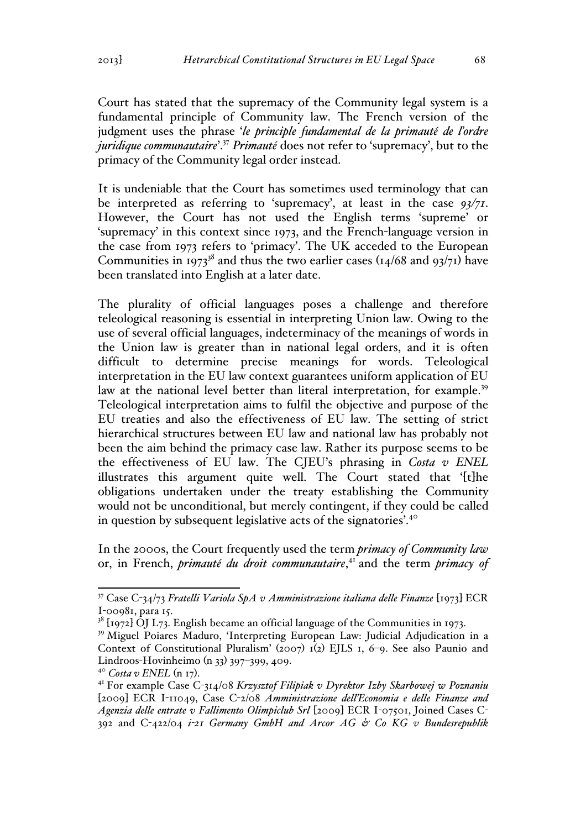Court has stated that the supremacy of the Community legal system is a fundamental principle of Community law. The French version of the judgment uses the phrase '*le principle fundamental de la primauté de l'ordre juridique communautaire*'.37 *Primauté* does not refer to 'supremacy', but to the primacy of the Community legal order instead.

It is undeniable that the Court has sometimes used terminology that can be interpreted as referring to 'supremacy', at least in the case *93/71*. However, the Court has not used the English terms 'supreme' or 'supremacy' in this context since 1973, and the French-language version in the case from 1973 refers to 'primacy'. The UK acceded to the European Communities in 1973<sup>38</sup> and thus the two earlier cases (14/68 and 93/71) have been translated into English at a later date.

The plurality of official languages poses a challenge and therefore teleological reasoning is essential in interpreting Union law. Owing to the use of several official languages, indeterminacy of the meanings of words in the Union law is greater than in national legal orders, and it is often difficult to determine precise meanings for words. Teleological interpretation in the EU law context guarantees uniform application of EU law at the national level better than literal interpretation, for example.<sup>39</sup> Teleological interpretation aims to fulfil the objective and purpose of the EU treaties and also the effectiveness of EU law. The setting of strict hierarchical structures between EU law and national law has probably not been the aim behind the primacy case law. Rather its purpose seems to be the effectiveness of EU law. The CJEU's phrasing in *Costa v ENEL* illustrates this argument quite well. The Court stated that '[t]he obligations undertaken under the treaty establishing the Community would not be unconditional, but merely contingent, if they could be called in question by subsequent legislative acts of the signatories'.<sup>40</sup>

In the 2000s, the Court frequently used the term *primacy of Community law* or, in French, *primauté du droit communautaire*, <sup>41</sup> and the term *primacy of* 

 <sup>37</sup> Case C-34/73 *Fratelli Variola SpA v Amministrazione italiana delle Finanze* [1973] ECR I-00981, para 15.<br><sup>38</sup> [1972] OJ L73. English became an official language of the Communities in 1973.

<sup>39</sup> Miguel Poiares Maduro, 'Interpreting European Law: Judicial Adjudication in a Context of Constitutional Pluralism' (2007) 1(2) EJLS 1, 6–9. See also Paunio and Lindroos-Hovinheimo (n 33) 397–399, 409.

<sup>&</sup>lt;sup>40</sup> *Costa v ENEL* (n 17).<br><sup>41</sup> For example Case C-314/08 *Krzysztof Filipiak v Dyrektor Izby Skarbowej w Poznaniu* [2009] ECR I-11049, Case C-2/08 *Amministrazione dell'Economia e delle Finanze and Agenzia delle entrate v Fallimento Olimpiclub Srl* [2009] ECR I-07501, Joined Cases C-392 and C-422/04 *i-21 Germany GmbH and Arcor AG & Co KG v Bundesrepublik*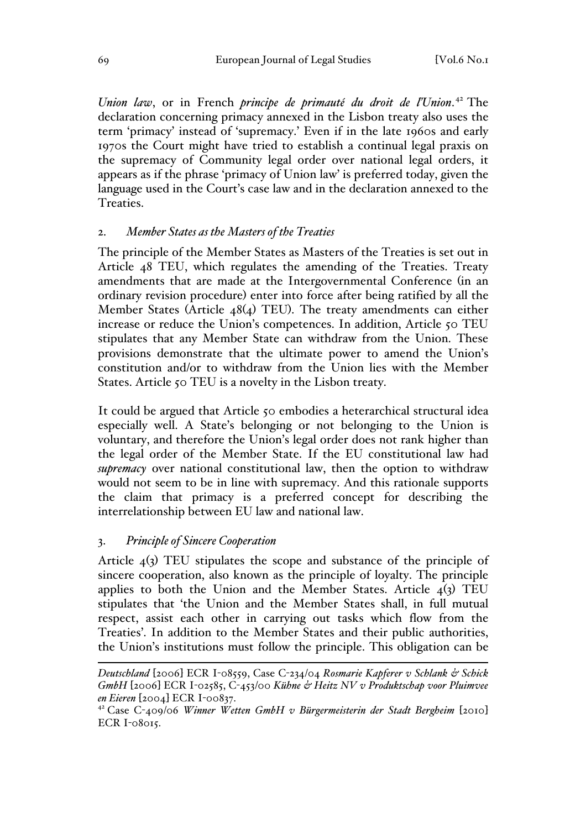*Union law*, or in French *principe de primauté du droit de l'Union*. <sup>42</sup> The declaration concerning primacy annexed in the Lisbon treaty also uses the term 'primacy' instead of 'supremacy.' Even if in the late 1960s and early 1970s the Court might have tried to establish a continual legal praxis on the supremacy of Community legal order over national legal orders, it appears as if the phrase 'primacy of Union law' is preferred today, given the language used in the Court's case law and in the declaration annexed to the Treaties.

#### 2. *Member States as the Masters of the Treaties*

The principle of the Member States as Masters of the Treaties is set out in Article 48 TEU, which regulates the amending of the Treaties. Treaty amendments that are made at the Intergovernmental Conference (in an ordinary revision procedure) enter into force after being ratified by all the Member States (Article 48(4) TEU). The treaty amendments can either increase or reduce the Union's competences. In addition, Article 50 TEU stipulates that any Member State can withdraw from the Union. These provisions demonstrate that the ultimate power to amend the Union's constitution and/or to withdraw from the Union lies with the Member States. Article 50 TEU is a novelty in the Lisbon treaty.

It could be argued that Article 50 embodies a heterarchical structural idea especially well. A State's belonging or not belonging to the Union is voluntary, and therefore the Union's legal order does not rank higher than the legal order of the Member State. If the EU constitutional law had *supremacy* over national constitutional law, then the option to withdraw would not seem to be in line with supremacy. And this rationale supports the claim that primacy is a preferred concept for describing the interrelationship between EU law and national law.

#### 3. *Principle of Sincere Cooperation*

Article  $4(3)$  TEU stipulates the scope and substance of the principle of sincere cooperation, also known as the principle of loyalty. The principle applies to both the Union and the Member States. Article  $\overline{4(3)}$  TEU stipulates that 'the Union and the Member States shall, in full mutual respect, assist each other in carrying out tasks which flow from the Treaties'. In addition to the Member States and their public authorities, the Union's institutions must follow the principle. This obligation can be

*Deutschland* [2006] ECR I-08559, Case C-234/04 *Rosmarie Kapferer v Schlank & Schick GmbH* [2006] ECR I-02585, C-453/00 *Kühne & Heitz NV v Produktschap voor Pluimvee en Eieren* [2004] ECR I-00837.

<sup>42</sup> Case C-409/06 *Winner Wetten GmbH v Bürgermeisterin der Stadt Bergheim* [2010] ECR I-08015.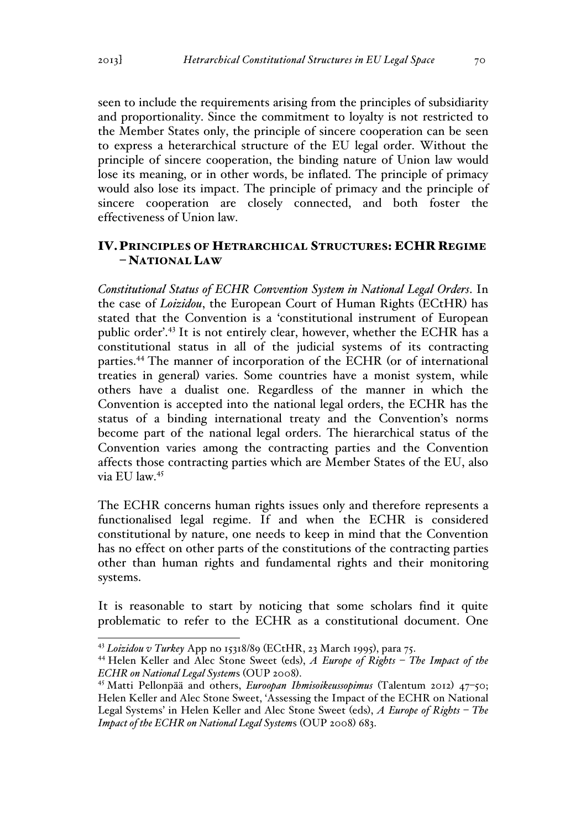seen to include the requirements arising from the principles of subsidiarity and proportionality. Since the commitment to loyalty is not restricted to the Member States only, the principle of sincere cooperation can be seen to express a heterarchical structure of the EU legal order. Without the principle of sincere cooperation, the binding nature of Union law would lose its meaning, or in other words, be inflated. The principle of primacy would also lose its impact. The principle of primacy and the principle of sincere cooperation are closely connected, and both foster the effectiveness of Union law.

### IV.PRINCIPLES OF HETRARCHICAL STRUCTURES: ECHR REGIME – NATIONAL LAW

*Constitutional Status of ECHR Convention System in National Legal Orders*. In the case of *Loizidou*, the European Court of Human Rights (ECtHR) has stated that the Convention is a 'constitutional instrument of European public order'.<sup>43</sup> It is not entirely clear, however, whether the ECHR has a constitutional status in all of the judicial systems of its contracting parties.44 The manner of incorporation of the ECHR (or of international treaties in general) varies. Some countries have a monist system, while others have a dualist one. Regardless of the manner in which the Convention is accepted into the national legal orders, the ECHR has the status of a binding international treaty and the Convention's norms become part of the national legal orders. The hierarchical status of the Convention varies among the contracting parties and the Convention affects those contracting parties which are Member States of the EU, also via EU law.45

The ECHR concerns human rights issues only and therefore represents a functionalised legal regime. If and when the ECHR is considered constitutional by nature, one needs to keep in mind that the Convention has no effect on other parts of the constitutions of the contracting parties other than human rights and fundamental rights and their monitoring systems.

It is reasonable to start by noticing that some scholars find it quite problematic to refer to the ECHR as a constitutional document. One

 <sup>43</sup> *Loizidou v Turkey* App no 15318/89 (ECtHR, 23 March 1995), para 75.

<sup>44</sup> Helen Keller and Alec Stone Sweet (eds), *A Europe of Rights – The Impact of the ECHR on National Legal System*s (OUP 2008). <sup>45</sup> Matti Pellonpää and others, *Euroopan Ihmisoikeussopimus* (Talentum 2012) 47–50;

Helen Keller and Alec Stone Sweet, 'Assessing the Impact of the ECHR on National Legal Systems' in Helen Keller and Alec Stone Sweet (eds), *A Europe of Rights – The Impact of the ECHR on National Legal System*s (OUP 2008) 683.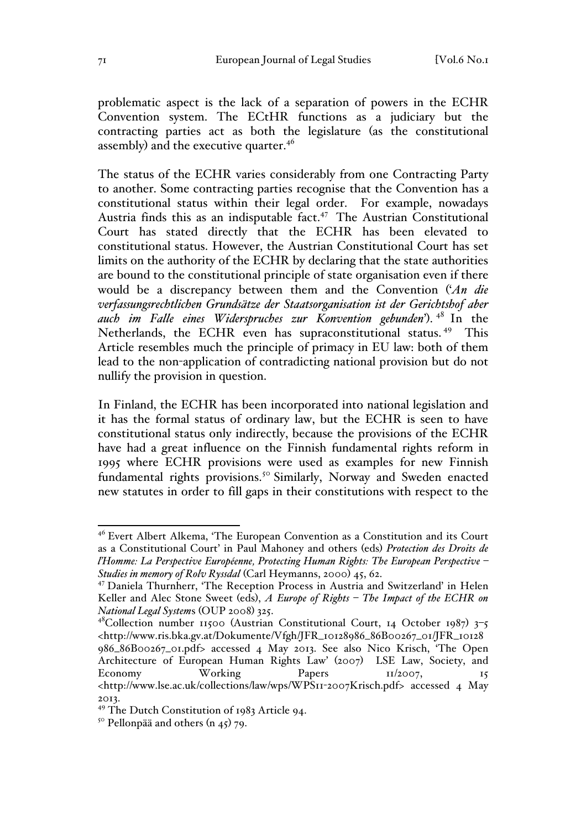problematic aspect is the lack of a separation of powers in the ECHR Convention system. The ECtHR functions as a judiciary but the contracting parties act as both the legislature (as the constitutional assembly) and the executive quarter.<sup>46</sup>

The status of the ECHR varies considerably from one Contracting Party to another. Some contracting parties recognise that the Convention has a constitutional status within their legal order. For example, nowadays Austria finds this as an indisputable fact. $47$  The Austrian Constitutional Court has stated directly that the ECHR has been elevated to constitutional status. However, the Austrian Constitutional Court has set limits on the authority of the ECHR by declaring that the state authorities are bound to the constitutional principle of state organisation even if there would be a discrepancy between them and the Convention ('*An die verfassungsrechtlichen Grundsätze der Staatsorganisation ist der Gerichtshof aber auch im Falle eines Widerspruches zur Konvention gebunden*'). <sup>48</sup> In the Netherlands, the ECHR even has supraconstitutional status.<sup>49</sup> This Article resembles much the principle of primacy in EU law: both of them lead to the non-application of contradicting national provision but do not nullify the provision in question.

In Finland, the ECHR has been incorporated into national legislation and it has the formal status of ordinary law, but the ECHR is seen to have constitutional status only indirectly, because the provisions of the ECHR have had a great influence on the Finnish fundamental rights reform in 1995 where ECHR provisions were used as examples for new Finnish fundamental rights provisions.<sup>50</sup> Similarly, Norway and Sweden enacted new statutes in order to fill gaps in their constitutions with respect to the

 <sup>46</sup> Evert Albert Alkema, 'The European Convention as a Constitution and its Court as a Constitutional Court' in Paul Mahoney and others (eds) *Protection des Droits de l'Homme: La Perspective Européenne, Protecting Human Rights: The European Perspective – Studies in memory of Rolv Ryssdal* (Carl Heymanns, 2000) 45, 62.

<sup>47</sup> Daniela Thurnherr, 'The Reception Process in Austria and Switzerland' in Helen Keller and Alec Stone Sweet (eds), *A Europe of Rights – The Impact of the ECHR on National Legal System*s (OUP 2008) 325.

<sup>&</sup>lt;sup>48</sup>Collection number 11500 (Austrian Constitutional Court, 14 October 1987) 3-5 <http://www.ris.bka.gv.at/Dokumente/Vfgh/JFR\_10128986\_86B00267\_01/JFR\_10128 986\_86B00267\_01.pdf> accessed 4 May 2013. See also Nico Krisch, 'The Open Architecture of European Human Rights Law' (2007) LSE Law, Society, and<br>Economy Working Papers  $\frac{1}{2007}$ ,  $\frac{1}{5}$ Economy Working Papers 11/2007, 15 <http://www.lse.ac.uk/collections/law/wps/WPS11-2007Krisch.pdf> accessed 4 May 2013.

<sup>49</sup> The Dutch Constitution of 1983 Article 94.

 $5^\circ$  Pellonpää and others (n 45) 79.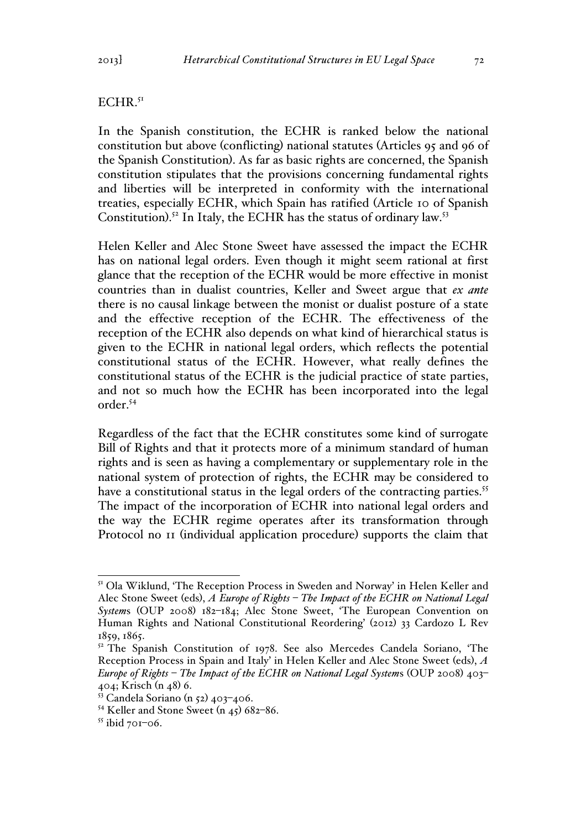#### $ECHR.<sup>51</sup>$

In the Spanish constitution, the ECHR is ranked below the national constitution but above (conflicting) national statutes (Articles 95 and 96 of the Spanish Constitution). As far as basic rights are concerned, the Spanish constitution stipulates that the provisions concerning fundamental rights and liberties will be interpreted in conformity with the international treaties, especially ECHR, which Spain has ratified (Article 10 of Spanish Constitution).<sup>52</sup> In Italy, the ECHR has the status of ordinary law.<sup>53</sup>

Helen Keller and Alec Stone Sweet have assessed the impact the ECHR has on national legal orders. Even though it might seem rational at first glance that the reception of the ECHR would be more effective in monist countries than in dualist countries, Keller and Sweet argue that *ex ante* there is no causal linkage between the monist or dualist posture of a state and the effective reception of the ECHR. The effectiveness of the reception of the ECHR also depends on what kind of hierarchical status is given to the ECHR in national legal orders, which reflects the potential constitutional status of the ECHR. However, what really defines the constitutional status of the ECHR is the judicial practice of state parties, and not so much how the ECHR has been incorporated into the legal order.54

Regardless of the fact that the ECHR constitutes some kind of surrogate Bill of Rights and that it protects more of a minimum standard of human rights and is seen as having a complementary or supplementary role in the national system of protection of rights, the ECHR may be considered to have a constitutional status in the legal orders of the contracting parties.<sup>55</sup> The impact of the incorporation of ECHR into national legal orders and the way the ECHR regime operates after its transformation through Protocol no 11 (individual application procedure) supports the claim that

<sup>&</sup>lt;sup>51</sup> Ola Wiklund, 'The Reception Process in Sweden and Norway' in Helen Keller and Alec Stone Sweet (eds), *A Europe of Rights – The Impact of the ECHR on National Legal System*s (OUP 2008) 182–184; Alec Stone Sweet, 'The European Convention on Human Rights and National Constitutional Reordering' (2012) 33 Cardozo L Rev 1859, 1865.

<sup>&</sup>lt;sup>52</sup> The Spanish Constitution of 1978. See also Mercedes Candela Soriano, 'The Reception Process in Spain and Italy' in Helen Keller and Alec Stone Sweet (eds), *A Europe of Rights – The Impact of the ECHR on National Legal System*s (OUP 2008) 403– 404; Krisch (n 48) 6.

 $53$  Candela Soriano (n 52) 403-406.

<sup>54</sup> Keller and Stone Sweet (n 45) 682–86.

 $55$  ibid 701–06.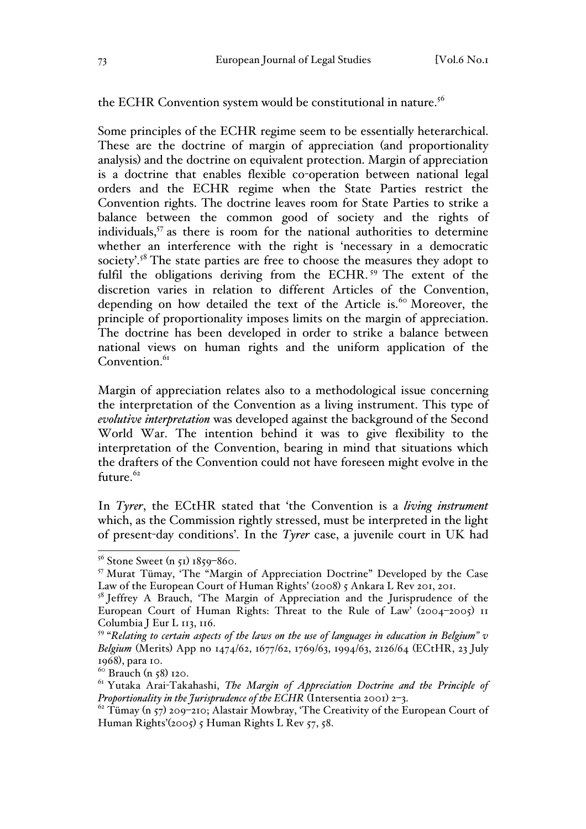the ECHR Convention system would be constitutional in nature.<sup>56</sup>

Some principles of the ECHR regime seem to be essentially heterarchical. These are the doctrine of margin of appreciation (and proportionality analysis) and the doctrine on equivalent protection. Margin of appreciation is a doctrine that enables flexible co-operation between national legal orders and the ECHR regime when the State Parties restrict the Convention rights. The doctrine leaves room for State Parties to strike a balance between the common good of society and the rights of individuals,<sup>57</sup> as there is room for the national authorities to determine whether an interference with the right is 'necessary in a democratic society'.<sup>58</sup> The state parties are free to choose the measures they adopt to fulfil the obligations deriving from the ECHR.<sup>59</sup> The extent of the discretion varies in relation to different Articles of the Convention, depending on how detailed the text of the Article is.<sup>60</sup> Moreover, the principle of proportionality imposes limits on the margin of appreciation. The doctrine has been developed in order to strike a balance between national views on human rights and the uniform application of the Convention. $6I$ 

Margin of appreciation relates also to a methodological issue concerning the interpretation of the Convention as a living instrument. This type of *evolutive interpretation* was developed against the background of the Second World War. The intention behind it was to give flexibility to the interpretation of the Convention, bearing in mind that situations which the drafters of the Convention could not have foreseen might evolve in the future. $62$ 

In *Tyrer*, the ECtHR stated that 'the Convention is a *living instrument* which, as the Commission rightly stressed, must be interpreted in the light of present-day conditions'. In the *Tyrer* case, a juvenile court in UK had

 $56$  Stone Sweet (n 51) 1859–860.

<sup>57</sup> Murat Tümay, 'The "Margin of Appreciation Doctrine" Developed by the Case Law of the European Court of Human Rights' (2008) 5 Ankara L Rev 201, 201.

<sup>&</sup>lt;sup>58</sup> Jeffrey A Brauch, 'The Margin of Appreciation and the Jurisprudence of the European Court of Human Rights: Threat to the Rule of Law' (2004–2005) 11 Columbia J Eur L 113, 116.

<sup>59</sup> "*Relating to certain aspects of the laws on the use of languages in education in Belgium" v Belgium* (Merits) App no 1474/62, 1677/62, 1769/63, 1994/63, 2126/64 (ECtHR, 23 July 1968), para 10.<br><sup>60</sup> Brauch (n 58) 120.

<sup>61</sup> Yutaka Arai-Takahashi, *The Margin of Appreciation Doctrine and the Principle of Proportionality in the Jurisprudence of the ECHR* (Intersentia 2001) 2–3.

 $62$  Tümay (n 57) 209-210; Alastair Mowbray, 'The Creativity of the European Court of Human Rights'(2005) 5 Human Rights L Rev 57, 58.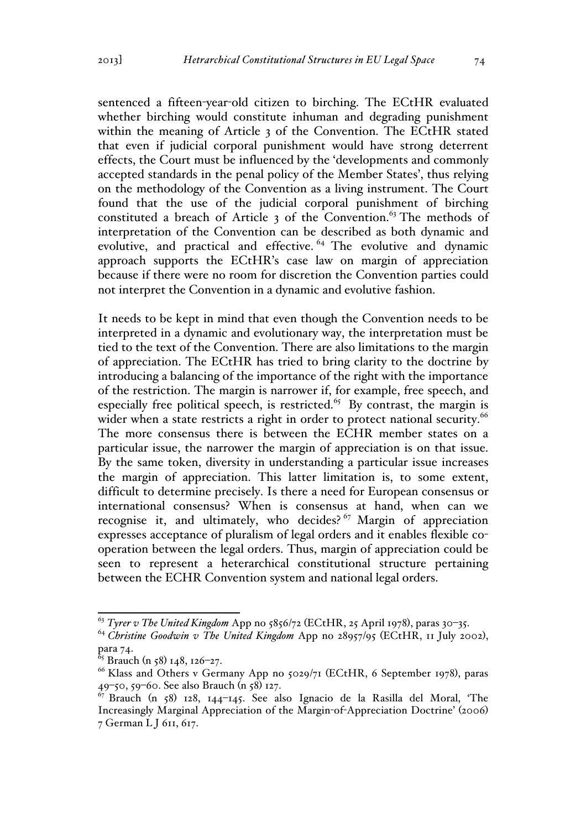sentenced a fifteen-year-old citizen to birching. The ECtHR evaluated whether birching would constitute inhuman and degrading punishment within the meaning of Article 3 of the Convention. The ECtHR stated that even if judicial corporal punishment would have strong deterrent effects, the Court must be influenced by the 'developments and commonly accepted standards in the penal policy of the Member States', thus relying on the methodology of the Convention as a living instrument. The Court found that the use of the judicial corporal punishment of birching constituted a breach of Article  $\alpha$  of the Convention.<sup>63</sup> The methods of interpretation of the Convention can be described as both dynamic and evolutive, and practical and effective. <sup>64</sup> The evolutive and dynamic approach supports the ECtHR's case law on margin of appreciation because if there were no room for discretion the Convention parties could not interpret the Convention in a dynamic and evolutive fashion.

It needs to be kept in mind that even though the Convention needs to be interpreted in a dynamic and evolutionary way, the interpretation must be tied to the text of the Convention. There are also limitations to the margin of appreciation. The ECtHR has tried to bring clarity to the doctrine by introducing a balancing of the importance of the right with the importance of the restriction. The margin is narrower if, for example, free speech, and especially free political speech, is restricted.<sup>65</sup> By contrast, the margin is wider when a state restricts a right in order to protect national security.<sup>66</sup> The more consensus there is between the ECHR member states on a particular issue, the narrower the margin of appreciation is on that issue. By the same token, diversity in understanding a particular issue increases the margin of appreciation. This latter limitation is, to some extent, difficult to determine precisely. Is there a need for European consensus or international consensus? When is consensus at hand, when can we recognise it, and ultimately, who decides?<sup>67</sup> Margin of appreciation expresses acceptance of pluralism of legal orders and it enables flexible cooperation between the legal orders. Thus, margin of appreciation could be seen to represent a heterarchical constitutional structure pertaining between the ECHR Convention system and national legal orders.

 <sup>63</sup> *Tyrer v The United Kingdom* App no 5856/72 (ECtHR, 25 April 1978), paras 30–35.

<sup>64</sup> *Christine Goodwin v The United Kingdom* App no 28957/95 (ECtHR, 11 July 2002), para 74.

<sup>&</sup>lt;sup>65</sup> Brauch (n 58) 148, 126–27.

 $^{66}$  Klass and Others v Germany App no  $5029/71$  (ECtHR, 6 September 1978), paras 49–50, 59–60. See also Brauch (n 58) 127.

<sup>&</sup>lt;sup>67</sup> Brauch (n 58) 128, 144–145. See also Ignacio de la Rasilla del Moral, 'The Increasingly Marginal Appreciation of the Margin-of-Appreciation Doctrine' (2006) 7 German L J 611, 617.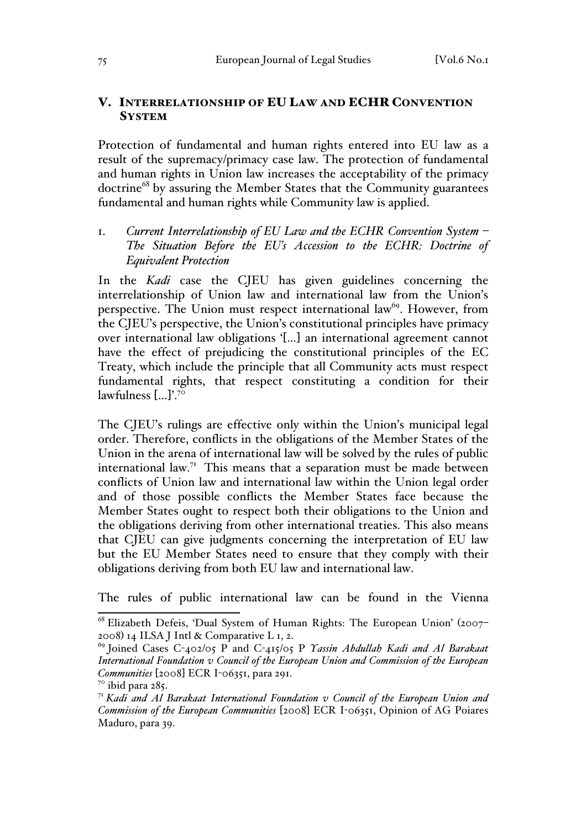## V. INTERRELATIONSHIP OF EU LAW AND ECHR CONVENTION **SYSTEM**

Protection of fundamental and human rights entered into EU law as a result of the supremacy/primacy case law. The protection of fundamental and human rights in Union law increases the acceptability of the primacy doctrine<sup>68</sup> by assuring the Member States that the Community guarantees fundamental and human rights while Community law is applied.

# 1. *Current Interrelationship of EU Law and the ECHR Convention System – The Situation Before the EU's Accession to the ECHR: Doctrine of Equivalent Protection*

In the *Kadi* case the CJEU has given guidelines concerning the interrelationship of Union law and international law from the Union's perspective. The Union must respect international law<sup>69</sup>. However, from the CJEU's perspective, the Union's constitutional principles have primacy over international law obligations '[…] an international agreement cannot have the effect of prejudicing the constitutional principles of the EC Treaty, which include the principle that all Community acts must respect fundamental rights, that respect constituting a condition for their lawfulness  $\left[\ldots\right]^{70}$ 

The CJEU's rulings are effective only within the Union's municipal legal order. Therefore, conflicts in the obligations of the Member States of the Union in the arena of international law will be solved by the rules of public international law.<sup>71</sup> This means that a separation must be made between conflicts of Union law and international law within the Union legal order and of those possible conflicts the Member States face because the Member States ought to respect both their obligations to the Union and the obligations deriving from other international treaties. This also means that CJEU can give judgments concerning the interpretation of EU law but the EU Member States need to ensure that they comply with their obligations deriving from both EU law and international law.

The rules of public international law can be found in the Vienna

 <sup>68</sup> Elizabeth Defeis, 'Dual System of Human Rights: The European Union' (2007– 2008) 14 ILSA J Intl & Comparative L 1, 2.

<sup>69</sup> Joined Cases C-402/05 P and C-415/05 P *Yassin Abdullah Kadi and Al Barakaat International Foundation v Council of the European Union and Commission of the European Communities* [2008] ECR I-06351, para 291.

 $7^\circ$  ibid para 285.

<sup>71</sup> *Kadi and Al Barakaat International Foundation v Council of the European Union and Commission of the European Communities* [2008] ECR I-06351, Opinion of AG Poiares Maduro, para 39.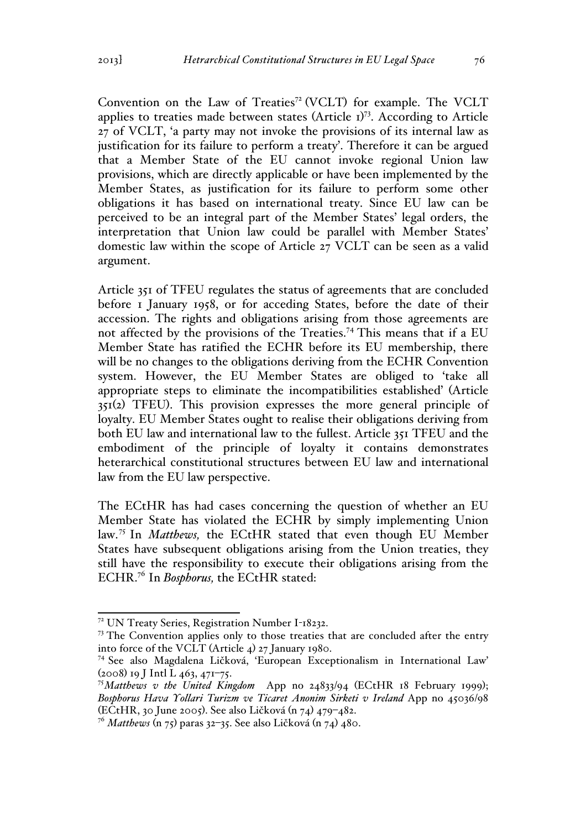Convention on the Law of Treaties<sup> $72$ </sup> (VCLT) for example. The VCLT applies to treaties made between states (Article 1)<sup>73</sup>. According to Article 27 of VCLT, 'a party may not invoke the provisions of its internal law as justification for its failure to perform a treaty'. Therefore it can be argued that a Member State of the EU cannot invoke regional Union law provisions, which are directly applicable or have been implemented by the Member States, as justification for its failure to perform some other obligations it has based on international treaty. Since EU law can be perceived to be an integral part of the Member States' legal orders, the interpretation that Union law could be parallel with Member States' domestic law within the scope of Article 27 VCLT can be seen as a valid argument.

Article 351 of TFEU regulates the status of agreements that are concluded before 1 January 1958, or for acceding States, before the date of their accession. The rights and obligations arising from those agreements are not affected by the provisions of the Treaties.74 This means that if a EU Member State has ratified the ECHR before its EU membership, there will be no changes to the obligations deriving from the ECHR Convention system. However, the EU Member States are obliged to 'take all appropriate steps to eliminate the incompatibilities established' (Article 351(2) TFEU). This provision expresses the more general principle of loyalty. EU Member States ought to realise their obligations deriving from both EU law and international law to the fullest. Article 351 TFEU and the embodiment of the principle of loyalty it contains demonstrates heterarchical constitutional structures between EU law and international law from the EU law perspective.

The ECtHR has had cases concerning the question of whether an EU Member State has violated the ECHR by simply implementing Union law.<sup>75</sup> In *Matthews,* the ECtHR stated that even though EU Member States have subsequent obligations arising from the Union treaties, they still have the responsibility to execute their obligations arising from the ECHR.76 In *Bosphorus,* the ECtHR stated:

 <sup>72</sup> UN Treaty Series, Registration Number I-18232.

<sup>&</sup>lt;sup>73</sup> The Convention applies only to those treaties that are concluded after the entry into force of the VCLT (Article 4) 27 January 1980.

<sup>74</sup> See also Magdalena Ličková, 'European Exceptionalism in International Law'  $(2008)$  19 J Intl L 463, 471-75.

<sup>75</sup>*Matthews v the United Kingdom* App no 24833/94 (ECtHR 18 February 1999); *Bosphorus Hava Yollari Turizm ve Ticaret Anonim Sirketi v Ireland* App no 45036/98 (ECtHR, 30 June 2005). See also Ličková (n 74) 479–482.

<sup>76</sup> *Matthews* (n 75) paras 32–35. See also Ličková (n 74) 480.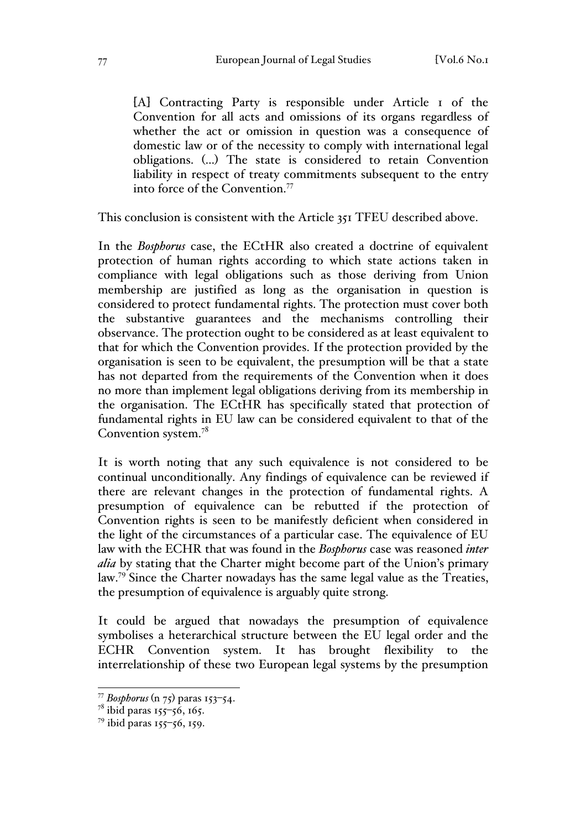[A] Contracting Party is responsible under Article 1 of the Convention for all acts and omissions of its organs regardless of whether the act or omission in question was a consequence of domestic law or of the necessity to comply with international legal obligations. (…) The state is considered to retain Convention liability in respect of treaty commitments subsequent to the entry into force of the Convention.<sup>77</sup>

This conclusion is consistent with the Article 351 TFEU described above.

In the *Bosphorus* case, the ECtHR also created a doctrine of equivalent protection of human rights according to which state actions taken in compliance with legal obligations such as those deriving from Union membership are justified as long as the organisation in question is considered to protect fundamental rights. The protection must cover both the substantive guarantees and the mechanisms controlling their observance. The protection ought to be considered as at least equivalent to that for which the Convention provides. If the protection provided by the organisation is seen to be equivalent, the presumption will be that a state has not departed from the requirements of the Convention when it does no more than implement legal obligations deriving from its membership in the organisation. The ECtHR has specifically stated that protection of fundamental rights in EU law can be considered equivalent to that of the Convention system.<sup>78</sup>

It is worth noting that any such equivalence is not considered to be continual unconditionally. Any findings of equivalence can be reviewed if there are relevant changes in the protection of fundamental rights. A presumption of equivalence can be rebutted if the protection of Convention rights is seen to be manifestly deficient when considered in the light of the circumstances of a particular case. The equivalence of EU law with the ECHR that was found in the *Bosphorus* case was reasoned *inter alia* by stating that the Charter might become part of the Union's primary law.<sup>79</sup> Since the Charter nowadays has the same legal value as the Treaties, the presumption of equivalence is arguably quite strong.

It could be argued that nowadays the presumption of equivalence symbolises a heterarchical structure between the EU legal order and the ECHR Convention system. It has brought flexibility to the interrelationship of these two European legal systems by the presumption

 <sup>77</sup> *Bosphorus* (n 75) paras 153–54.

<sup>&</sup>lt;sup>78</sup> ibid paras 155–56, 165.

<sup>79</sup> ibid paras 155–56, 159.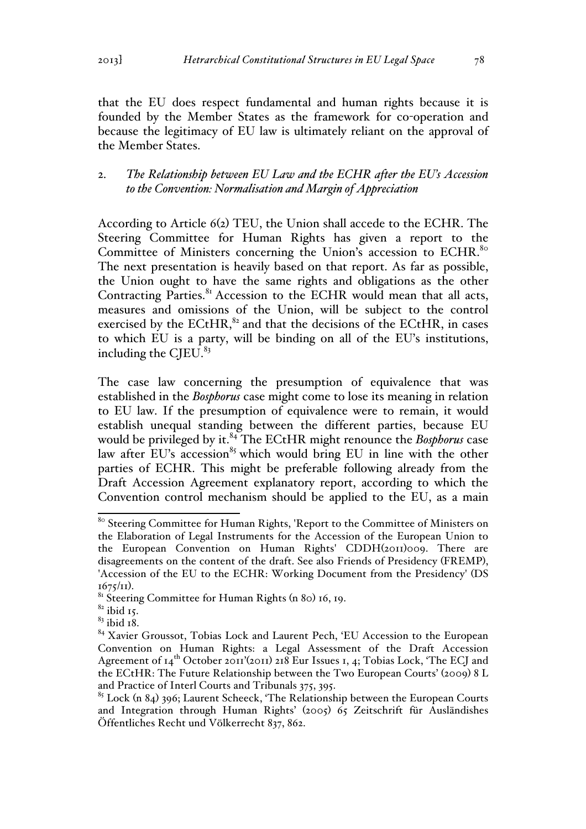that the EU does respect fundamental and human rights because it is founded by the Member States as the framework for co-operation and because the legitimacy of EU law is ultimately reliant on the approval of the Member States.

# 2. *The Relationship between EU Law and the ECHR after the EU's Accession to the Convention: Normalisation and Margin of Appreciation*

According to Article 6(2) TEU, the Union shall accede to the ECHR. The Steering Committee for Human Rights has given a report to the Committee of Ministers concerning the Union's accession to ECHR.<sup>80</sup> The next presentation is heavily based on that report. As far as possible, the Union ought to have the same rights and obligations as the other Contracting Parties.<sup>81</sup> Accession to the ECHR would mean that all acts, measures and omissions of the Union, will be subject to the control exercised by the ECtHR, $^{82}$  and that the decisions of the ECtHR, in cases to which EU is a party, will be binding on all of the EU's institutions, including the CJEU. $83$ 

The case law concerning the presumption of equivalence that was established in the *Bosphorus* case might come to lose its meaning in relation to EU law. If the presumption of equivalence were to remain, it would establish unequal standing between the different parties, because EU would be privileged by it.<sup>84</sup> The ECtHR might renounce the *Bosphorus* case law after EU's  $\arccos$  accession<sup>85</sup> which would bring EU in line with the other parties of ECHR. This might be preferable following already from the Draft Accession Agreement explanatory report, according to which the Convention control mechanism should be applied to the EU, as a main

<sup>80</sup> Steering Committee for Human Rights, 'Report to the Committee of Ministers on the Elaboration of Legal Instruments for the Accession of the European Union to the European Convention on Human Rights' CDDH(2011)009. There are disagreements on the content of the draft. See also Friends of Presidency (FREMP), 'Accession of the EU to the ECHR: Working Document from the Presidency' (DS  $1675/11$ ).<br><sup>81</sup> Steering Committee for Human Rights (n 80) 16, 19.

 $82$  ibid 15.

 $83$  ibid 18.

<sup>84</sup> Xavier Groussot, Tobias Lock and Laurent Pech, 'EU Accession to the European Convention on Human Rights: a Legal Assessment of the Draft Accession Agreement of  $I_4$ <sup>th</sup> October 2011'(2011) 218 Eur Issues 1, 4; Tobias Lock, 'The ECJ and the ECtHR: The Future Relationship between the Two European Courts' (2009) 8 L and Practice of Interl Courts and Tribunals 375, 395.

 $85$  Lock (n 84) 396; Laurent Scheeck, 'The Relationship between the European Courts and Integration through Human Rights' (2005) 65 Zeitschrift für Ausländishes Öffentliches Recht und Völkerrecht 837, 862.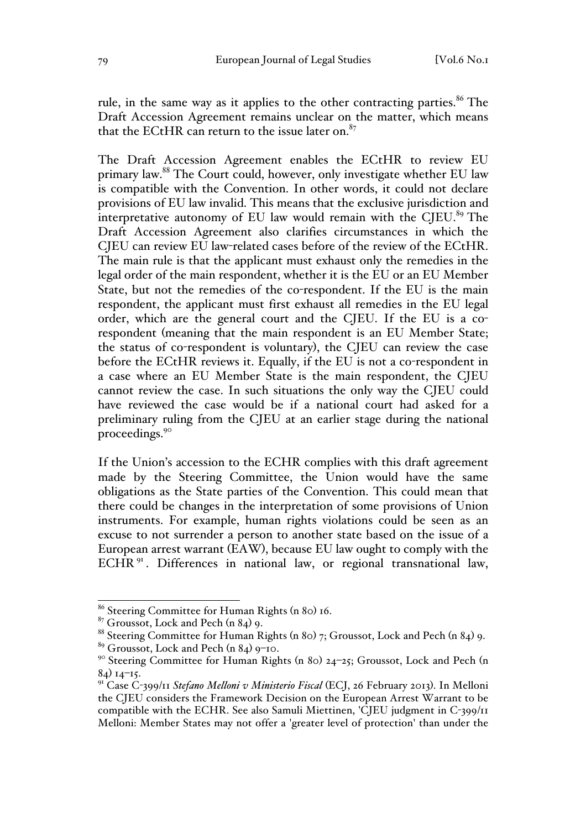rule, in the same way as it applies to the other contracting parties.<sup>86</sup> The Draft Accession Agreement remains unclear on the matter, which means that the ECtHR can return to the issue later on. $87$ 

The Draft Accession Agreement enables the ECtHR to review EU primary law.88 The Court could, however, only investigate whether EU law is compatible with the Convention. In other words, it could not declare provisions of EU law invalid. This means that the exclusive jurisdiction and interpretative autonomy of EU law would remain with the CJEU. $89$  The Draft Accession Agreement also clarifies circumstances in which the CJEU can review EU law-related cases before of the review of the ECtHR. The main rule is that the applicant must exhaust only the remedies in the legal order of the main respondent, whether it is the EU or an EU Member State, but not the remedies of the co-respondent. If the EU is the main respondent, the applicant must first exhaust all remedies in the EU legal order, which are the general court and the CJEU. If the EU is a corespondent (meaning that the main respondent is an EU Member State; the status of co-respondent is voluntary), the CJEU can review the case before the ECtHR reviews it. Equally, if the EU is not a co-respondent in a case where an EU Member State is the main respondent, the CJEU cannot review the case. In such situations the only way the CJEU could have reviewed the case would be if a national court had asked for a preliminary ruling from the CJEU at an earlier stage during the national proceedings.90

If the Union's accession to the ECHR complies with this draft agreement made by the Steering Committee, the Union would have the same obligations as the State parties of the Convention. This could mean that there could be changes in the interpretation of some provisions of Union instruments. For example, human rights violations could be seen as an excuse to not surrender a person to another state based on the issue of a European arrest warrant (EAW), because EU law ought to comply with the ECHR<sup>91</sup>. Differences in national law, or regional transnational law,

 <sup>86</sup> Steering Committee for Human Rights (n 80) 16.

 $87$  Groussot, Lock and Pech (n 84) 9.

<sup>88</sup> Steering Committee for Human Rights (n 80) 7; Groussot, Lock and Pech (n 84) 9.

<sup>89</sup> Groussot, Lock and Pech (n 84) 9–10.

<sup>&</sup>lt;sup>90</sup> Steering Committee for Human Rights (n 80) 24-25; Groussot, Lock and Pech (n 84) 14–15.

<sup>91</sup> Case C-399/11 *Stefano Melloni v Ministerio Fiscal* (ECJ, 26 February 2013). In Melloni the CJEU considers the Framework Decision on the European Arrest Warrant to be compatible with the ECHR. See also Samuli Miettinen, 'CJEU judgment in C-399/11 Melloni: Member States may not offer a 'greater level of protection' than under the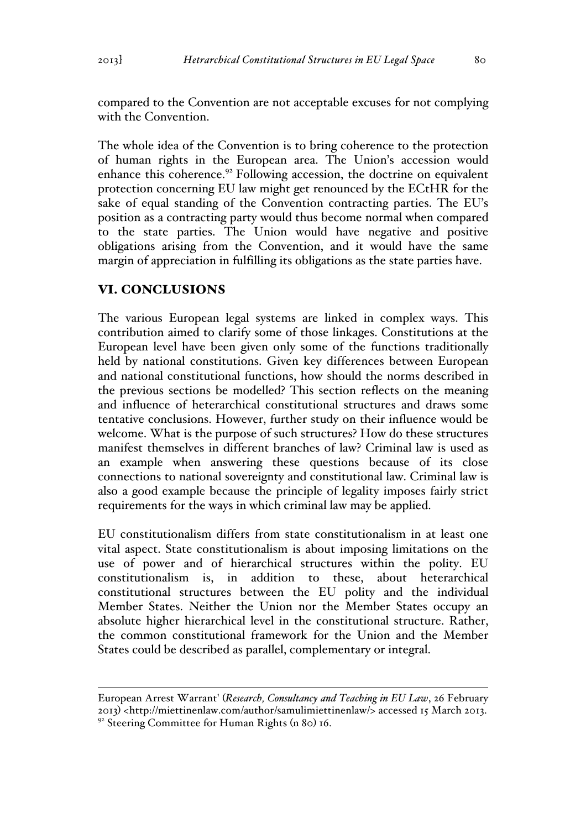compared to the Convention are not acceptable excuses for not complying with the Convention.

The whole idea of the Convention is to bring coherence to the protection of human rights in the European area. The Union's accession would enhance this coherence. $92$  Following accession, the doctrine on equivalent protection concerning EU law might get renounced by the ECtHR for the sake of equal standing of the Convention contracting parties. The EU's position as a contracting party would thus become normal when compared to the state parties. The Union would have negative and positive obligations arising from the Convention, and it would have the same margin of appreciation in fulfilling its obligations as the state parties have.

# VI. CONCLUSIONS

The various European legal systems are linked in complex ways. This contribution aimed to clarify some of those linkages. Constitutions at the European level have been given only some of the functions traditionally held by national constitutions. Given key differences between European and national constitutional functions, how should the norms described in the previous sections be modelled? This section reflects on the meaning and influence of heterarchical constitutional structures and draws some tentative conclusions. However, further study on their influence would be welcome. What is the purpose of such structures? How do these structures manifest themselves in different branches of law? Criminal law is used as an example when answering these questions because of its close connections to national sovereignty and constitutional law. Criminal law is also a good example because the principle of legality imposes fairly strict requirements for the ways in which criminal law may be applied.

EU constitutionalism differs from state constitutionalism in at least one vital aspect. State constitutionalism is about imposing limitations on the use of power and of hierarchical structures within the polity. EU constitutionalism is, in addition to these, about heterarchical constitutional structures between the EU polity and the individual Member States. Neither the Union nor the Member States occupy an absolute higher hierarchical level in the constitutional structure. Rather, the common constitutional framework for the Union and the Member States could be described as parallel, complementary or integral.

European Arrest Warrant' (*Research, Consultancy and Teaching in EU Law*, 26 February 2013) <http://miettinenlaw.com/author/samulimiettinenlaw/> accessed 15 March 2013. <sup>92</sup> Steering Committee for Human Rights (n 80) 16.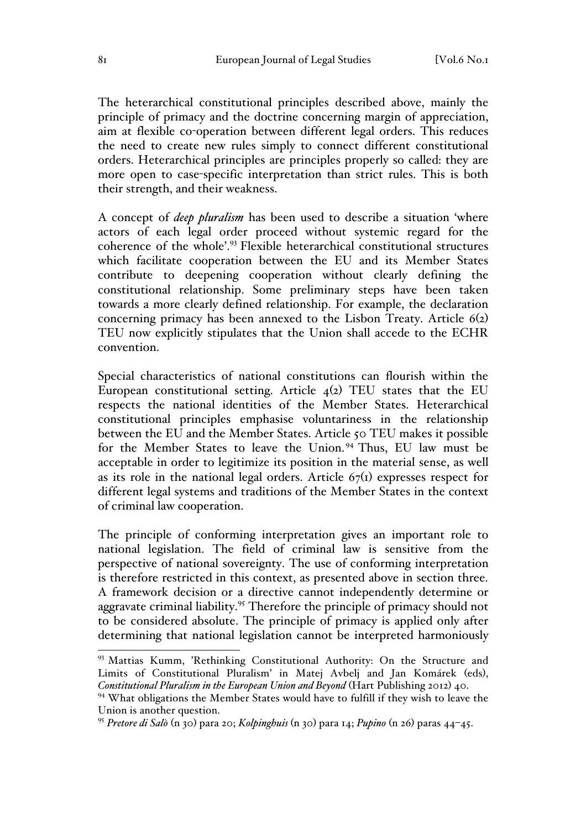The heterarchical constitutional principles described above, mainly the principle of primacy and the doctrine concerning margin of appreciation, aim at flexible co-operation between different legal orders. This reduces the need to create new rules simply to connect different constitutional orders. Heterarchical principles are principles properly so called: they are more open to case-specific interpretation than strict rules. This is both their strength, and their weakness.

A concept of *deep pluralism* has been used to describe a situation 'where actors of each legal order proceed without systemic regard for the coherence of the whole'.93 Flexible heterarchical constitutional structures which facilitate cooperation between the EU and its Member States contribute to deepening cooperation without clearly defining the constitutional relationship. Some preliminary steps have been taken towards a more clearly defined relationship. For example, the declaration concerning primacy has been annexed to the Lisbon Treaty. Article 6(2) TEU now explicitly stipulates that the Union shall accede to the ECHR convention.

Special characteristics of national constitutions can flourish within the European constitutional setting. Article  $4(2)$  TEU states that the EU respects the national identities of the Member States. Heterarchical constitutional principles emphasise voluntariness in the relationship between the EU and the Member States. Article 50 TEU makes it possible for the Member States to leave the Union.<sup>94</sup> Thus, EU law must be acceptable in order to legitimize its position in the material sense, as well as its role in the national legal orders. Article  $67<sub>(1)</sub>$  expresses respect for different legal systems and traditions of the Member States in the context of criminal law cooperation.

The principle of conforming interpretation gives an important role to national legislation. The field of criminal law is sensitive from the perspective of national sovereignty. The use of conforming interpretation is therefore restricted in this context, as presented above in section three. A framework decision or a directive cannot independently determine or aggravate criminal liability.<sup>95</sup> Therefore the principle of primacy should not to be considered absolute. The principle of primacy is applied only after determining that national legislation cannot be interpreted harmoniously

<sup>&</sup>lt;sup>93</sup> Mattias Kumm, 'Rethinking Constitutional Authority: On the Structure and Limits of Constitutional Pluralism' in Matej Avbelj and Jan Komárek (eds), *Constitutional Pluralism in the European Union and Beyond* (Hart Publishing 2012) 40.

<sup>&</sup>lt;sup>94</sup> What obligations the Member States would have to fulfill if they wish to leave the Union is another question.

<sup>95</sup> *Pretore di Salò* (n 30) para 20; *Kolpinghuis* (n 30) para 14; *Pupino* (n 26) paras 44–45.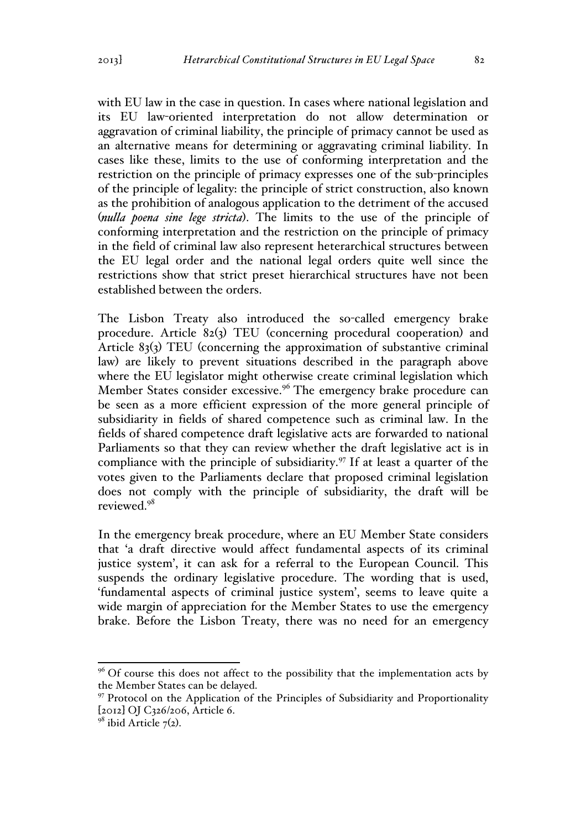with EU law in the case in question. In cases where national legislation and its EU law-oriented interpretation do not allow determination or aggravation of criminal liability, the principle of primacy cannot be used as an alternative means for determining or aggravating criminal liability. In cases like these, limits to the use of conforming interpretation and the restriction on the principle of primacy expresses one of the sub-principles of the principle of legality: the principle of strict construction, also known as the prohibition of analogous application to the detriment of the accused (*nulla poena sine lege stricta*). The limits to the use of the principle of conforming interpretation and the restriction on the principle of primacy in the field of criminal law also represent heterarchical structures between the EU legal order and the national legal orders quite well since the restrictions show that strict preset hierarchical structures have not been established between the orders.

The Lisbon Treaty also introduced the so-called emergency brake procedure. Article 82(3) TEU (concerning procedural cooperation) and Article 83(3) TEU (concerning the approximation of substantive criminal law) are likely to prevent situations described in the paragraph above where the EU legislator might otherwise create criminal legislation which Member States consider excessive.<sup>96</sup> The emergency brake procedure can be seen as a more efficient expression of the more general principle of subsidiarity in fields of shared competence such as criminal law. In the fields of shared competence draft legislative acts are forwarded to national Parliaments so that they can review whether the draft legislative act is in compliance with the principle of subsidiarity. $97$  If at least a quarter of the votes given to the Parliaments declare that proposed criminal legislation does not comply with the principle of subsidiarity, the draft will be reviewed<sup>98</sup>

In the emergency break procedure, where an EU Member State considers that 'a draft directive would affect fundamental aspects of its criminal justice system', it can ask for a referral to the European Council. This suspends the ordinary legislative procedure. The wording that is used, 'fundamental aspects of criminal justice system', seems to leave quite a wide margin of appreciation for the Member States to use the emergency brake. Before the Lisbon Treaty, there was no need for an emergency

 $96$  Of course this does not affect to the possibility that the implementation acts by the Member States can be delayed.

<sup>97</sup> Protocol on the Application of the Principles of Subsidiarity and Proportionality [2012] OJ C326/206, Article 6.

 $98$  ibid Article 7(2).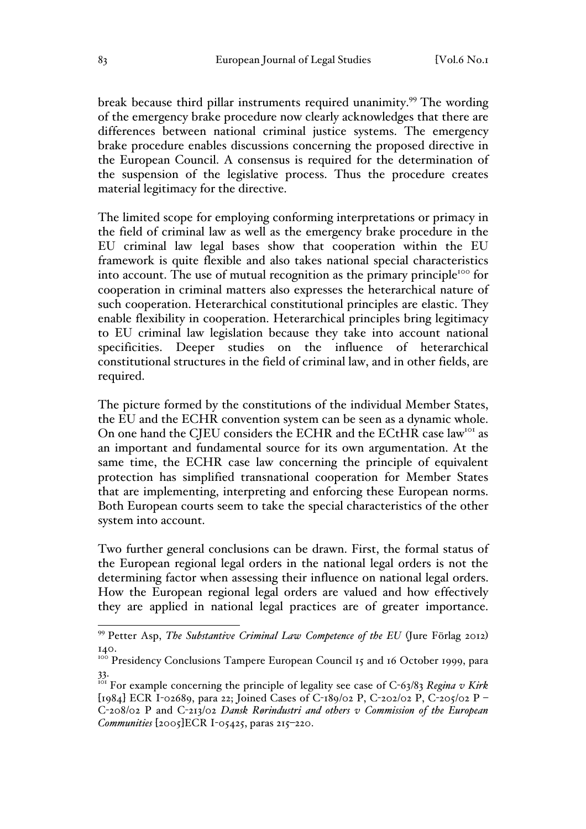break because third pillar instruments required unanimity.<sup>99</sup> The wording of the emergency brake procedure now clearly acknowledges that there are differences between national criminal justice systems. The emergency brake procedure enables discussions concerning the proposed directive in the European Council. A consensus is required for the determination of the suspension of the legislative process. Thus the procedure creates material legitimacy for the directive.

The limited scope for employing conforming interpretations or primacy in the field of criminal law as well as the emergency brake procedure in the EU criminal law legal bases show that cooperation within the EU framework is quite flexible and also takes national special characteristics into account. The use of mutual recognition as the primary principle<sup>100</sup> for cooperation in criminal matters also expresses the heterarchical nature of such cooperation. Heterarchical constitutional principles are elastic. They enable flexibility in cooperation. Heterarchical principles bring legitimacy to EU criminal law legislation because they take into account national specificities. Deeper studies on the influence of heterarchical constitutional structures in the field of criminal law, and in other fields, are required.

The picture formed by the constitutions of the individual Member States, the EU and the ECHR convention system can be seen as a dynamic whole. On one hand the CJEU considers the ECHR and the ECtHR case law<sup>101</sup> as an important and fundamental source for its own argumentation. At the same time, the ECHR case law concerning the principle of equivalent protection has simplified transnational cooperation for Member States that are implementing, interpreting and enforcing these European norms. Both European courts seem to take the special characteristics of the other system into account.

Two further general conclusions can be drawn. First, the formal status of the European regional legal orders in the national legal orders is not the determining factor when assessing their influence on national legal orders. How the European regional legal orders are valued and how effectively they are applied in national legal practices are of greater importance.

 <sup>99</sup> Petter Asp, *The Substantive Criminal Law Competence of the EU* (Jure Förlag 2012) 140.

<sup>140.&</sup>lt;br><sup>100</sup> Presidency Conclusions Tampere European Council 15 and 16 October 1999, para 33.

<sup>&</sup>lt;sup>101</sup> For example concerning the principle of legality see case of C-63/83 *Regina v Kirk* [1984] ECR I-02689, para 22; Joined Cases of C-189/02 P, C-202/02 P, C-205/02 P – C-208/02 P and C-213/02 *Dansk Rørindustri and others v Commission of the European Communities* [2005]ECR I-05425, paras 215–220.